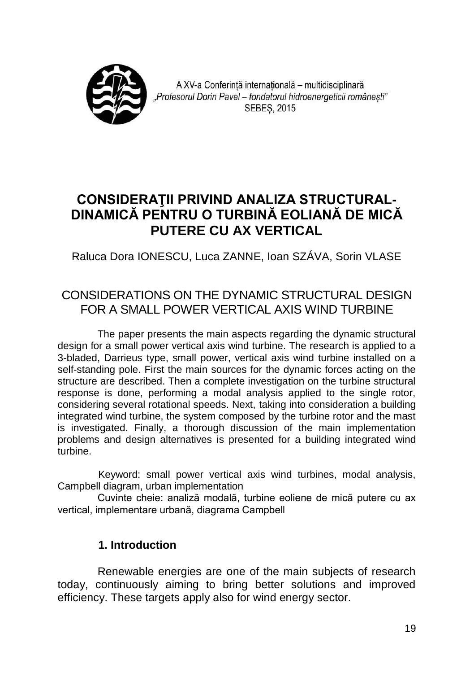

A XV-a Conferintă internatională - multidisciplinară "Profesorul Dorin Pavel – fondatorul hidroenergeticii românesti" **SEBES, 2015** 

# **CONSIDERAŢII PRIVIND ANALIZA STRUCTURAL-DINAMICĂ PENTRU O TURBINĂ EOLIANĂ DE MICĂ PUTERE CU AX VERTICAL**

Raluca Dora IONESCU, Luca ZANNE, Ioan SZÁVA, Sorin VLASE

# CONSIDERATIONS ON THE DYNAMIC STRUCTURAL DESIGN FOR A SMALL POWER VERTICAL AXIS WIND TURBINE

The paper presents the main aspects regarding the dynamic structural design for a small power vertical axis wind turbine. The research is applied to a 3-bladed, Darrieus type, small power, vertical axis wind turbine installed on a self-standing pole. First the main sources for the dynamic forces acting on the structure are described. Then a complete investigation on the turbine structural response is done, performing a modal analysis applied to the single rotor, considering several rotational speeds. Next, taking into consideration a building integrated wind turbine, the system composed by the turbine rotor and the mast is investigated. Finally, a thorough discussion of the main implementation problems and design alternatives is presented for a building integrated wind turbine.

Keyword: small power vertical axis wind turbines, modal analysis, Campbell diagram, urban implementation

Cuvinte cheie: analiză modală, turbine eoliene de mică putere cu ax vertical, implementare urbană, diagrama Campbell

# **1. Introduction**

Renewable energies are one of the main subjects of research today, continuously aiming to bring better solutions and improved efficiency. These targets apply also for wind energy sector.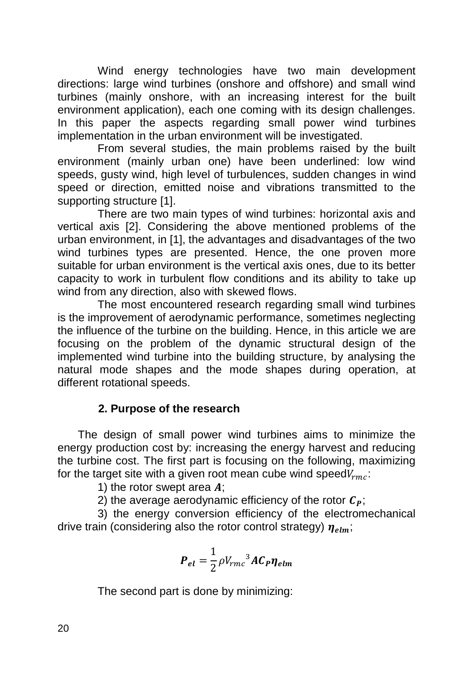Wind energy technologies have two main development directions: large wind turbines (onshore and offshore) and small wind turbines (mainly onshore, with an increasing interest for the built environment application), each one coming with its design challenges. In this paper the aspects regarding small power wind turbines implementation in the urban environment will be investigated.

From several studies, the main problems raised by the built environment (mainly urban one) have been underlined: low wind speeds, gusty wind, high level of turbulences, sudden changes in wind speed or direction, emitted noise and vibrations transmitted to the supporting structure [1].

There are two main types of wind turbines: horizontal axis and vertical axis [2]. Considering the above mentioned problems of the urban environment, in [1], the advantages and disadvantages of the two wind turbines types are presented. Hence, the one proven more suitable for urban environment is the vertical axis ones, due to its better capacity to work in turbulent flow conditions and its ability to take up wind from any direction, also with skewed flows.

The most encountered research regarding small wind turbines is the improvement of aerodynamic performance, sometimes neglecting the influence of the turbine on the building. Hence, in this article we are focusing on the problem of the dynamic structural design of the implemented wind turbine into the building structure, by analysing the natural mode shapes and the mode shapes during operation, at different rotational speeds.

## **2. Purpose of the research**

The design of small power wind turbines aims to minimize the energy production cost by: increasing the energy harvest and reducing the turbine cost. The first part is focusing on the following, maximizing for the target site with a given root mean cube wind speed $V_{rmc}$ .

1) the rotor swept area  $\boldsymbol{A}$ :

2) the average aerodynamic efficiency of the rotor  $C_p$ ;

3) the energy conversion efficiency of the electromechanical drive train (considering also the rotor control strategy)  $\eta_{elm}$ .

$$
\boldsymbol{P}_{el} = \frac{1}{2} \rho V_{rm}^3 A \boldsymbol{C}_{\boldsymbol{P}} \boldsymbol{\eta}_{elm}
$$

The second part is done by minimizing: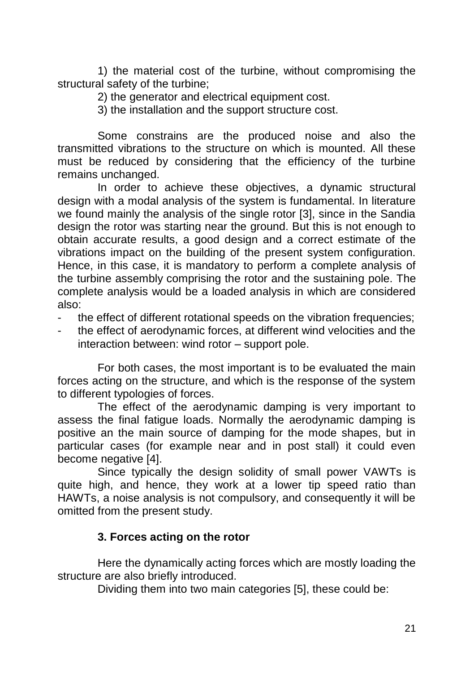1) the material cost of the turbine, without compromising the structural safety of the turbine:

2) the generator and electrical equipment cost.

3) the installation and the support structure cost.

Some constrains are the produced noise and also the transmitted vibrations to the structure on which is mounted. All these must be reduced by considering that the efficiency of the turbine remains unchanged.

In order to achieve these objectives, a dynamic structural design with a modal analysis of the system is fundamental. In literature we found mainly the analysis of the single rotor [3], since in the Sandia design the rotor was starting near the ground. But this is not enough to obtain accurate results, a good design and a correct estimate of the vibrations impact on the building of the present system configuration. Hence, in this case, it is mandatory to perform a complete analysis of the turbine assembly comprising the rotor and the sustaining pole. The complete analysis would be a loaded analysis in which are considered also:

- the effect of different rotational speeds on the vibration frequencies:
- the effect of aerodynamic forces, at different wind velocities and the interaction between: wind rotor – support pole.

For both cases, the most important is to be evaluated the main forces acting on the structure, and which is the response of the system to different typologies of forces.

The effect of the aerodynamic damping is very important to assess the final fatigue loads. Normally the aerodynamic damping is positive an the main source of damping for the mode shapes, but in particular cases (for example near and in post stall) it could even become negative [4].

Since typically the design solidity of small power VAWTs is quite high, and hence, they work at a lower tip speed ratio than HAWTs, a noise analysis is not compulsory, and consequently it will be omitted from the present study.

## **3. Forces acting on the rotor**

Here the dynamically acting forces which are mostly loading the structure are also briefly introduced.

Dividing them into two main categories [5], these could be: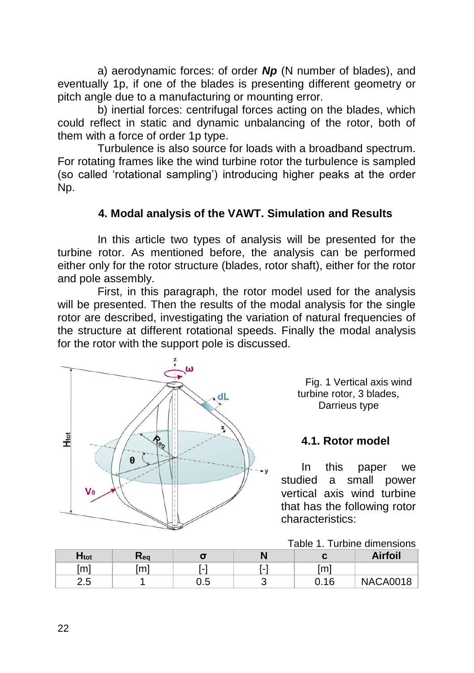a) aerodynamic forces: of order *Np* (N number of blades), and eventually 1p, if one of the blades is presenting different geometry or pitch angle due to a manufacturing or mounting error.

b) inertial forces: centrifugal forces acting on the blades, which could reflect in static and dynamic unbalancing of the rotor, both of them with a force of order 1p type.

Turbulence is also source for loads with a broadband spectrum. For rotating frames like the wind turbine rotor the turbulence is sampled (so called 'rotational sampling') introducing higher peaks at the order Np.

## **4. Modal analysis of the VAWT. Simulation and Results**

In this article two types of analysis will be presented for the turbine rotor. As mentioned before, the analysis can be performed either only for the rotor structure (blades, rotor shaft), either for the rotor and pole assembly.

First, in this paragraph, the rotor model used for the analysis will be presented. Then the results of the modal analysis for the single rotor are described, investigating the variation of natural frequencies of the structure at different rotational speeds. Finally the modal analysis for the rotor with the support pole is discussed.



Fig. 1 Vertical axis wind turbine rotor, 3 blades, Darrieus type

#### **4.1. Rotor model**

In this paper we studied a small power vertical axis wind turbine that has the following rotor characteristics:

Table 1. Turbine dimensions

| $H_{\text{tot}}$ | ι≺eq |           |                        | Airfoil         |
|------------------|------|-----------|------------------------|-----------------|
| [m]              | [m]  | ۰         | [m]                    |                 |
| つに<br>ن. ے       |      | ・5<br>υ.υ | <b>∩ 1 ፎ</b><br>v. 1 v | <b>NACA0018</b> |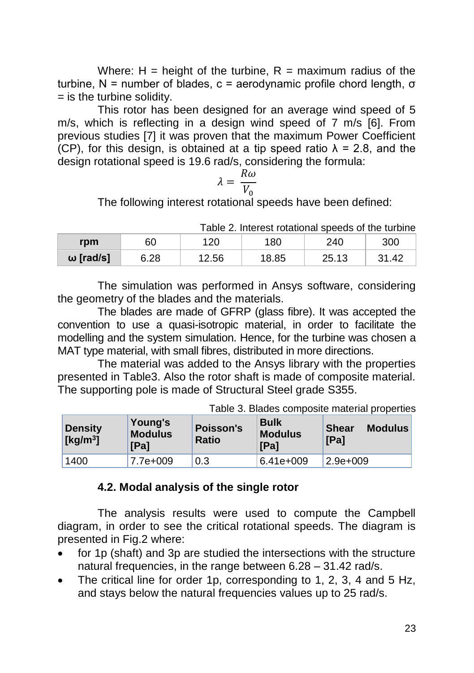Where:  $H =$  height of the turbine,  $R =$  maximum radius of the turbine, N = number of blades,  $c =$  aerodynamic profile chord length,  $σ$  $=$  is the turbine solidity.

This rotor has been designed for an average wind speed of 5 m/s, which is reflecting in a design wind speed of 7 m/s [6]. From previous studies [7] it was proven that the maximum Power Coefficient (CP), for this design, is obtained at a tip speed ratio  $\lambda$  = 2.8, and the design rotational speed is 19.6 rad/s, considering the formula:

$$
\lambda = \frac{R\omega}{V_0}
$$

The following interest rotational speeds have been defined:

| rpm       | 60   | 120   | 180   | 240   | 300   |  |
|-----------|------|-------|-------|-------|-------|--|
| ω [rad/s] | 6.28 | 12.56 | 18.85 | 25.13 | 31.42 |  |

Table 2. Interest rotational speeds of the turbine

The simulation was performed in Ansys software, considering the geometry of the blades and the materials.

The blades are made of GFRP (glass fibre). It was accepted the convention to use a quasi-isotropic material, in order to facilitate the modelling and the system simulation. Hence, for the turbine was chosen a MAT type material, with small fibres, distributed in more directions.

The material was added to the Ansys library with the properties presented in Table3. Also the rotor shaft is made of composite material. The supporting pole is made of Structural Steel grade S355.

Table 3. Blades composite material properties

| <b>Density</b><br>[ $kg/m3$ ] | Young's<br><b>Modulus</b><br><b>IPal</b> | <b>Poisson's</b><br><b>Ratio</b> | <b>Bulk</b><br><b>Modulus</b><br><b>IPal</b> | <b>Shear</b><br><b>Modulus</b><br>[Pa] |
|-------------------------------|------------------------------------------|----------------------------------|----------------------------------------------|----------------------------------------|
| 1400                          | 7.7e+009                                 | 0.3                              | 6.41e+009                                    | $2.9e + 009$                           |

## **4.2. Modal analysis of the single rotor**

The analysis results were used to compute the Campbell diagram, in order to see the critical rotational speeds. The diagram is presented in Fig.2 where:

- for 1p (shaft) and 3p are studied the intersections with the structure natural frequencies, in the range between 6.28 – 31.42 rad/s.
- The critical line for order 1p, corresponding to 1, 2, 3, 4 and 5 Hz, and stays below the natural frequencies values up to 25 rad/s.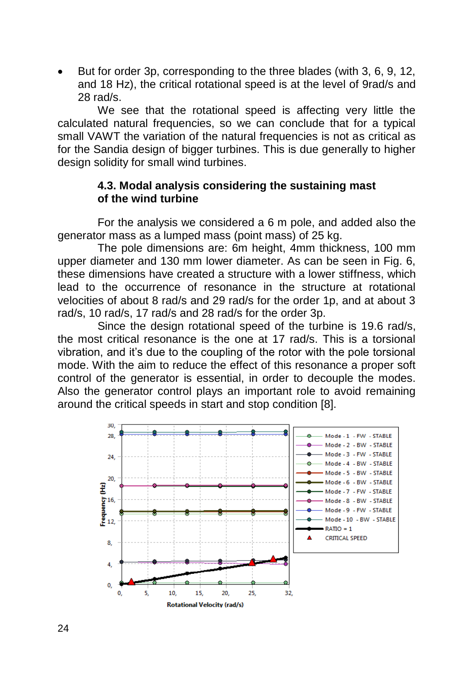But for order 3p, corresponding to the three blades (with 3, 6, 9, 12, and 18 Hz), the critical rotational speed is at the level of 9rad/s and 28 rad/s.

We see that the rotational speed is affecting very little the calculated natural frequencies, so we can conclude that for a typical small VAWT the variation of the natural frequencies is not as critical as for the Sandia design of bigger turbines. This is due generally to higher design solidity for small wind turbines.

#### **4.3. Modal analysis considering the sustaining mast of the wind turbine**

For the analysis we considered a 6 m pole, and added also the generator mass as a lumped mass (point mass) of 25 kg.

The pole dimensions are: 6m height, 4mm thickness, 100 mm upper diameter and 130 mm lower diameter. As can be seen in Fig. 6, these dimensions have created a structure with a lower stiffness, which lead to the occurrence of resonance in the structure at rotational velocities of about 8 rad/s and 29 rad/s for the order 1p, and at about 3 rad/s, 10 rad/s, 17 rad/s and 28 rad/s for the order 3p.

Since the design rotational speed of the turbine is 19.6 rad/s, the most critical resonance is the one at 17 rad/s. This is a torsional vibration, and it's due to the coupling of the rotor with the pole torsional mode. With the aim to reduce the effect of this resonance a proper soft control of the generator is essential, in order to decouple the modes. Also the generator control plays an important role to avoid remaining around the critical speeds in start and stop condition [8].

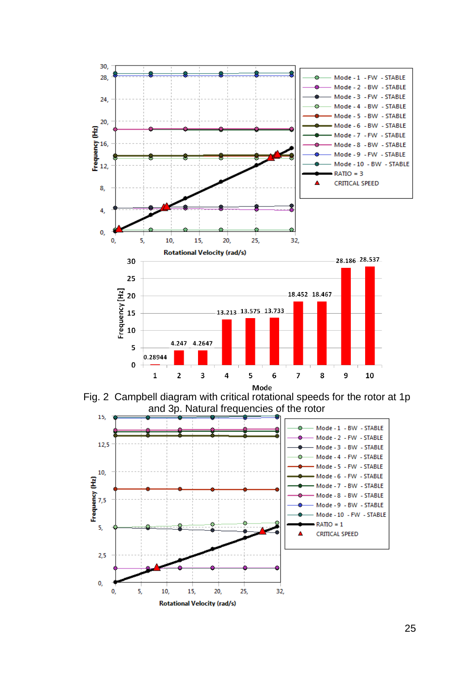

Fig. 2 Campbell diagram with critical rotational speeds for the rotor at 1p and 3p. Natural frequencies of the rotor

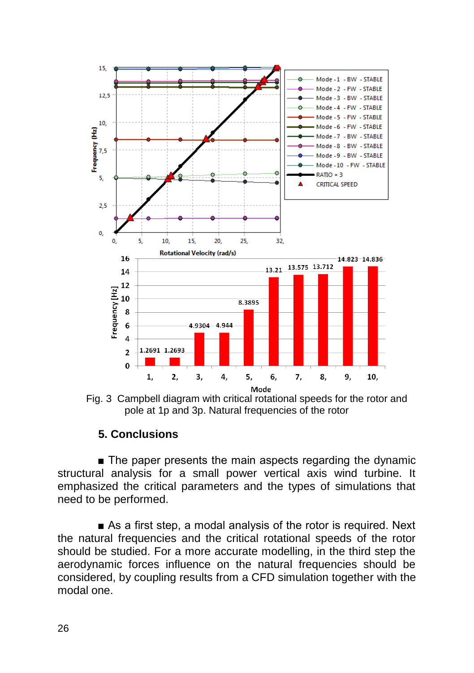

Fig. 3 Campbell diagram with critical rotational speeds for the rotor and pole at 1p and 3p. Natural frequencies of the rotor

# **5. Conclusions**

■ The paper presents the main aspects regarding the dynamic structural analysis for a small power vertical axis wind turbine. It emphasized the critical parameters and the types of simulations that need to be performed.

■ As a first step, a modal analysis of the rotor is required. Next the natural frequencies and the critical rotational speeds of the rotor should be studied. For a more accurate modelling, in the third step the aerodynamic forces influence on the natural frequencies should be considered, by coupling results from a CFD simulation together with the modal one.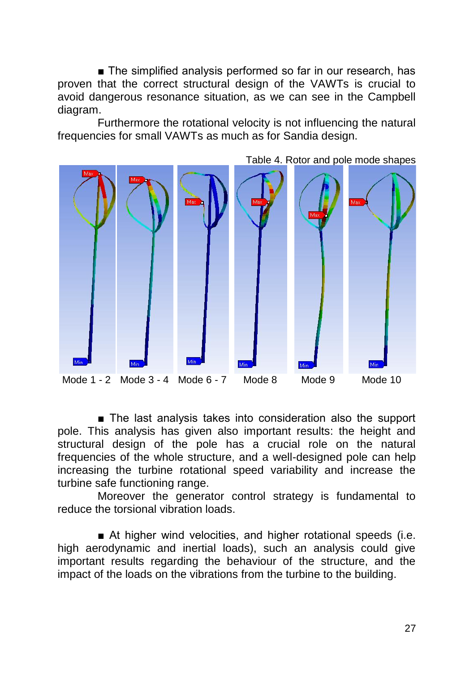■ The simplified analysis performed so far in our research, has proven that the correct structural design of the VAWTs is crucial to avoid dangerous resonance situation, as we can see in the Campbell diagram.

Furthermore the rotational velocity is not influencing the natural frequencies for small VAWTs as much as for Sandia design.



■ The last analysis takes into consideration also the support pole. This analysis has given also important results: the height and structural design of the pole has a crucial role on the natural frequencies of the whole structure, and a well-designed pole can help increasing the turbine rotational speed variability and increase the turbine safe functioning range.

Moreover the generator control strategy is fundamental to reduce the torsional vibration loads.

■ At higher wind velocities, and higher rotational speeds (i.e. high aerodynamic and inertial loads), such an analysis could give important results regarding the behaviour of the structure, and the impact of the loads on the vibrations from the turbine to the building.